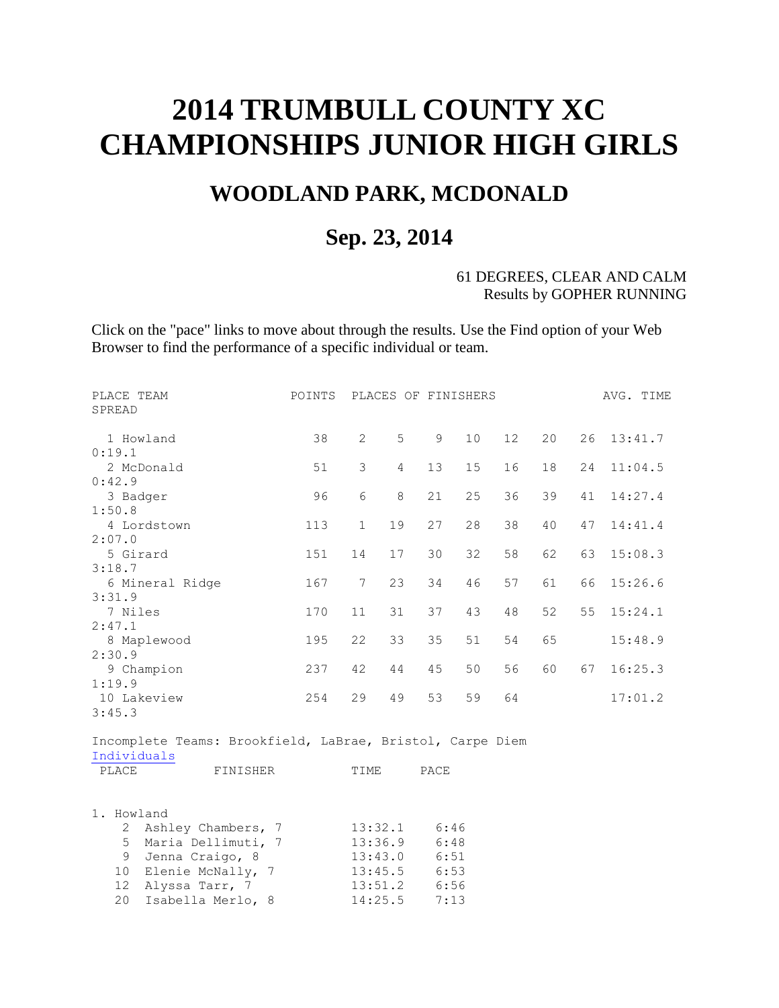## **2014 TRUMBULL COUNTY XC CHAMPIONSHIPS JUNIOR HIGH GIRLS**

## **WOODLAND PARK, MCDONALD**

## **Sep. 23, 2014**

## 61 DEGREES, CLEAR AND CALM Results by GOPHER RUNNING

Click on the "pace" links to move about through the results. Use the Find option of your Web Browser to find the performance of a specific individual or team.

| PLACE TEAM<br>SPREAD                                      | POINTS |                | PLACES OF FINISHERS |             |    |    |    |    | AVG. TIME |
|-----------------------------------------------------------|--------|----------------|---------------------|-------------|----|----|----|----|-----------|
|                                                           |        |                |                     |             |    |    |    |    |           |
| 1 Howland                                                 | 38     | $\mathbf{2}$   | 5                   | $\mathsf 9$ | 10 | 12 | 20 | 26 | 13:41.7   |
| 0:19.1                                                    |        |                |                     |             |    |    |    |    |           |
| 2 McDonald                                                | 51     | 3              | $\overline{4}$      | 13          | 15 | 16 | 18 | 24 | 11:04.5   |
| 0:42.9                                                    |        |                |                     |             |    |    |    |    |           |
| 3 Badger                                                  | 96     | 6              | $\,8\,$             | 21          | 25 | 36 | 39 | 41 | 14:27.4   |
| 1:50.8                                                    |        |                |                     |             |    |    |    |    |           |
| 4 Lordstown                                               | 113    | $\mathbf{1}$   | 19                  | 27          | 28 | 38 | 40 | 47 | 14:41.4   |
| 2:07.0                                                    |        |                |                     |             |    |    |    |    |           |
| 5 Girard                                                  | 151    | 14             | 17                  | 30          | 32 | 58 | 62 | 63 | 15:08.3   |
| 3:18.7                                                    |        |                |                     |             |    |    |    |    |           |
| 6 Mineral Ridge                                           | 167    | $\overline{7}$ | 23                  | 34          | 46 | 57 | 61 | 66 | 15:26.6   |
| 3:31.9<br>7 Niles                                         | 170    | 11             | 31                  | 37          |    |    |    | 55 |           |
| 2:47.1                                                    |        |                |                     |             | 43 | 48 | 52 |    | 15:24.1   |
| 8 Maplewood                                               | 195    | 22             | 33                  | 35          | 51 | 54 | 65 |    | 15:48.9   |
| 2:30.9                                                    |        |                |                     |             |    |    |    |    |           |
| 9 Champion                                                | 237    | 42             | 44                  | 45          | 50 | 56 | 60 | 67 | 16:25.3   |
| 1:19.9                                                    |        |                |                     |             |    |    |    |    |           |
| 10 Lakeview                                               | 254    | 29             | 49                  | 53          | 59 | 64 |    |    | 17:01.2   |
| 3:45.3                                                    |        |                |                     |             |    |    |    |    |           |
|                                                           |        |                |                     |             |    |    |    |    |           |
| Incomplete Teams: Brookfield, LaBrae, Bristol, Carpe Diem |        |                |                     |             |    |    |    |    |           |
| Individuals                                               |        |                |                     |             |    |    |    |    |           |
| PLACE<br>FINISHER                                         |        | TIME           |                     | PACE        |    |    |    |    |           |
|                                                           |        |                |                     |             |    |    |    |    |           |
|                                                           |        |                |                     |             |    |    |    |    |           |
| 1. Howland                                                |        |                |                     |             |    |    |    |    |           |
| Ashley Chambers, 7<br>2                                   |        |                | 13:32.1             | 6:46        |    |    |    |    |           |
| 5<br>Maria Dellimuti, 7                                   |        |                | 13:36.9             | 6:48        |    |    |    |    |           |
| 9<br>Jenna Craigo, 8                                      |        | 13:43.0        |                     | 6:51        |    |    |    |    |           |
| Elenie McNally, 7<br>10                                   |        |                | 13:45.5             | 6:53        |    |    |    |    |           |

 12 Alyssa Tarr, 7 13:51.2 6:56 20 Isabella Merlo, 8 14:25.5 7:13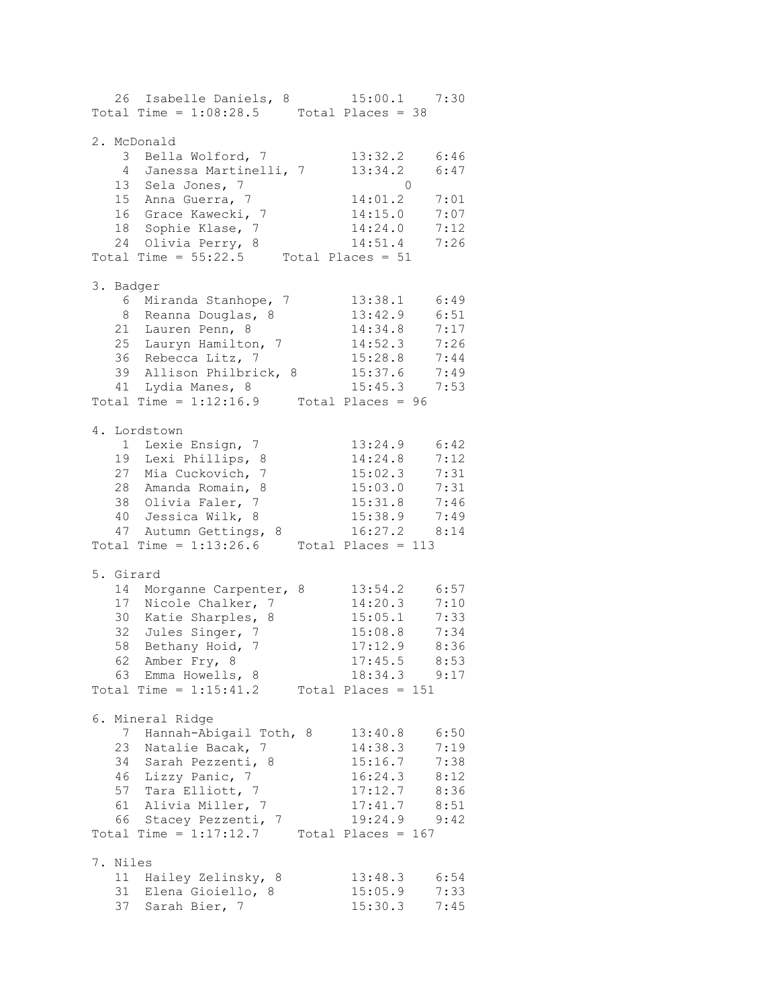26 Isabelle Daniels, 8 15:00.1 7:30 Total Time =  $1:08:28.5$  Total Places = 38 2. McDonald 3 Bella Wolford, 7 13:32.2 6:46 4 Janessa Martinelli, 7 13:34.2 6:47 13 Sela Jones, 7 0 15 Anna Guerra, 7 14:01.2 7:01 16 Grace Kawecki, 7 14:15.0 7:07 18 Sophie Klase, 7 14:24.0 7:12 24 Olivia Perry, 8 14:51.4 7:26 Total Time =  $55:22.5$  Total Places =  $51$ 3. Badger 6 Miranda Stanhope, 7 13:38.1 6:49 8 Reanna Douglas, 8 13:42.9 6:51 21 Lauren Penn, 8 14:34.8 7:17 25 Lauryn Hamilton, 7 14:52.3 7:26 36 Rebecca Litz, 7 15:28.8 7:44 39 Allison Philbrick, 8 15:37.6 7:49 41 Lydia Manes, 8 15:45.3 7:53 Total Time =  $1:12:16.9$  Total Places =  $96$ 4. Lordstown 1 Lexie Ensign, 7 13:24.9 6:42 19 Lexi Phillips, 8 14:24.8 7:12 27 Mia Cuckovich, 7 15:02.3 7:31 28 Amanda Romain, 8 15:03.0 7:31 38 Olivia Faler, 7 15:31.8 7:46 40 Jessica Wilk, 8 15:38.9 7:49 47 Autumn Gettings, 8 16:27.2 8:14 Total Time =  $1:13:26.6$  Total Places = 113 5. Girard 14 Morganne Carpenter, 8 13:54.2 6:57 17 Nicole Chalker, 7 14:20.3 7:10 30 Katie Sharples, 8 15:05.1 7:33 32 Jules Singer, 7 15:08.8 7:34 58 Bethany Hoid, 7 17:12.9 8:36 62 Amber Fry, 8 17:45.5 8:53 63 Emma Howells, 8 18:34.3 9:17 Total Time =  $1:15:41.2$  Total Places =  $151$ 6. Mineral Ridge 7 Hannah-Abigail Toth, 8 13:40.8 6:50 23 Natalie Bacak, 7 14:38.3 7:19 34 Sarah Pezzenti, 8 15:16.7 7:38 46 Lizzy Panic, 7 16:24.3 8:12 57 Tara Elliott, 7 17:12.7 8:36 61 Alivia Miller, 7 17:41.7 8:51 66 Stacey Pezzenti, 7 19:24.9 9:42 Total Time =  $1:17:12.7$  Total Places = 167 7. Niles 11 Hailey Zelinsky, 8 13:48.3 6:54 31 Elena Gioiello, 8 15:05.9 7:33 37 Sarah Bier, 7 15:30.3 7:45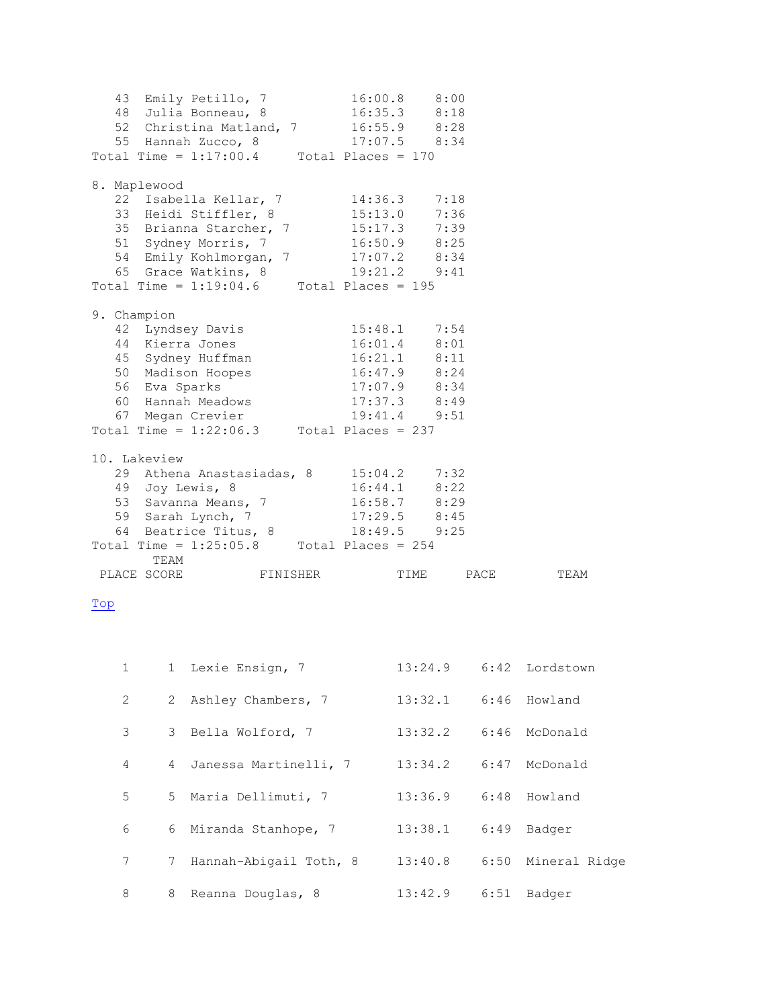|             |                      | 43 Emily Petillo, 7<br>48 Julia Bonneau, 8<br>52 Christina Matland, 7 16:55.9 8:28<br>55 Hannah Zucco, 8<br>Total Time = $1:17:00.4$ Total Places = 170                                                                               | 16:00.8 8:00<br>$16:35.3$ 8:18<br>$17:07.5$ 8:34                                                                         |         |         |      |                |  |
|-------------|----------------------|---------------------------------------------------------------------------------------------------------------------------------------------------------------------------------------------------------------------------------------|--------------------------------------------------------------------------------------------------------------------------|---------|---------|------|----------------|--|
|             | 8. Maplewood         | 22 Isabella Kellar, 7 14:36.3 7:18<br>33 Heidi Stiffler, 8 15:13.0 7:36<br>35 Brianna Starcher, 7<br>51 Sydney Morris, 7<br>54 Emily Kohlmorgan, 7 17:07.2 8:34<br>65 Grace Watkins, 8<br>Total Time = $1:19:04.6$ Total Places = 195 | $15:17.3$ 7:39<br>$16:50.9$ 8:25<br>19:21.2 9:41                                                                         |         |         |      |                |  |
| 9. Champion |                      | 42 Lyndsey Davis<br>44 Kierra Jones<br>44 Kierra Jones<br>45 Sydney Huffman<br>50 Madison Hoopes<br>56 Eva Sparks<br>60 Hannah Meadows<br>67 Megan Crevier<br>Total Time = $1:22:06.3$ Total Places = 237                             | 15:48.1 7:54<br>16:01.4 8:01<br>$16:21.1$ $8:11$<br>$16:47.9$ 8:24<br>$17:07.9$ 8:34<br>$17:37.3$ $8:49$<br>19:41.4 9:51 |         |         |      |                |  |
|             | 10. Lakeview<br>TEAM | 29 Athena Anastasiadas, 8 15:04.2 7:32<br>49 Joy Lewis, 8<br>53 Savanna Means, 7<br>59 Sarah Lynch, 7<br>64 Beatrice Titus, 8<br>Total Time = $1:25:05.8$ Total Places = 254<br>PLACE SCORE FINISHER                                  | $16:44.1$ 8:22<br>$16:58.7$ 8:29<br>$17:29.5$ 8:45<br>$18:49.5$ 9:25                                                     |         |         |      | TIME PACE TEAM |  |
| Top         |                      |                                                                                                                                                                                                                                       |                                                                                                                          |         |         |      |                |  |
| 1           | 1                    | Lexie Ensign, 7                                                                                                                                                                                                                       |                                                                                                                          | 13:24.9 |         | 6:42 | Lordstown      |  |
| 2           | 2.                   | Ashley Chambers, 7                                                                                                                                                                                                                    |                                                                                                                          | 13:32.1 |         | 6:46 | Howland        |  |
| 3           | 3                    | Bella Wolford, 7                                                                                                                                                                                                                      |                                                                                                                          | 13:32.2 |         | 6:46 | McDonald       |  |
| 4           | 4                    | Janessa Martinelli, 7                                                                                                                                                                                                                 |                                                                                                                          | 13:34.2 |         | 6:47 | McDonald       |  |
| 5           | 5                    | Maria Dellimuti, 7                                                                                                                                                                                                                    |                                                                                                                          | 13:36.9 |         | 6:48 | Howland        |  |
| 6           | 6                    | Miranda Stanhope, 7                                                                                                                                                                                                                   |                                                                                                                          |         | 13:38.1 | 6:49 | Badger         |  |
| 7           | 7                    | Hannah-Abigail Toth, 8                                                                                                                                                                                                                |                                                                                                                          | 13:40.8 |         | 6:50 | Mineral Ridge  |  |

<span id="page-2-0"></span>8 8 Reanna Douglas, 8 13:42.9 6:51 Badger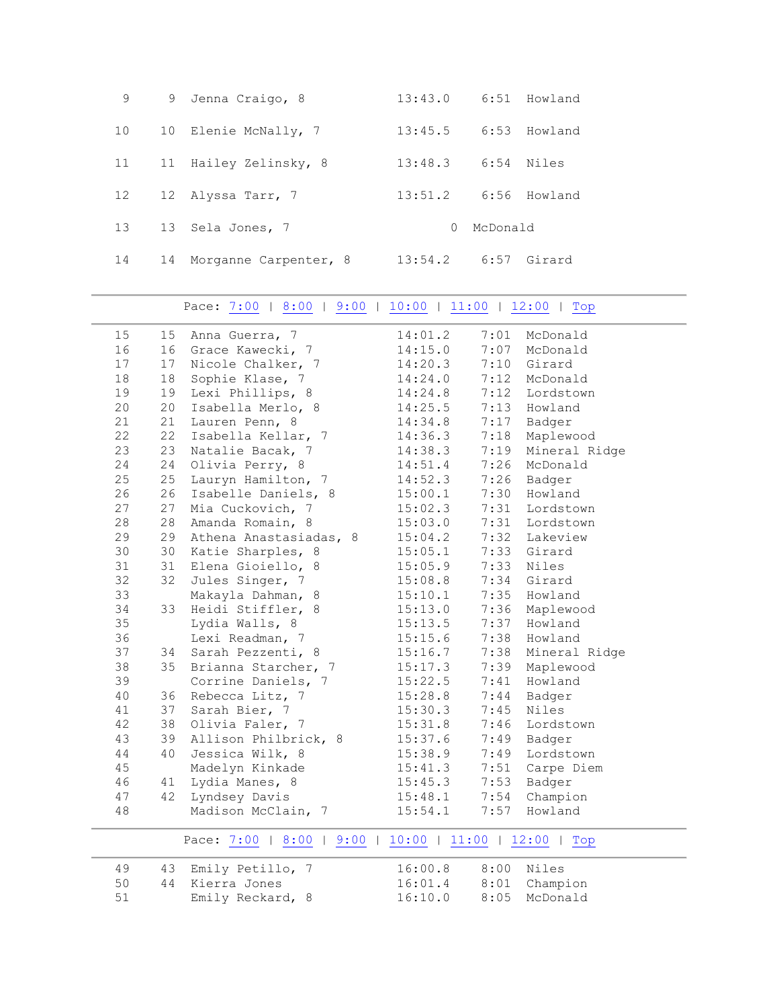| 9  |    | 9 Jenna Craigo, 8     | 13:43.0  |          | 6:51 Howland |
|----|----|-----------------------|----------|----------|--------------|
| 10 | 10 | Elenie McNally, 7     | 13:45.5  |          | 6:53 Howland |
| 11 | 11 | Hailey Zelinsky, 8    | 13:48.3  |          | 6:54 Niles   |
| 12 |    | 12 Alyssa Tarr, 7     | 13:51.2  |          | 6:56 Howland |
| 13 |    | 13 Sela Jones, 7      | $\Omega$ | McDonald |              |
| 14 | 14 | Morganne Carpenter, 8 | 13:54.2  |          | 6:57 Girard  |

Pace: [7:00](#page-3-0) | [8:00](#page-3-1) | [9:00](#page-4-0) | [10:00](#page-4-1) | [11:00](#page-5-0) | [12:00](#page-5-1) | Top

<span id="page-3-1"></span><span id="page-3-0"></span>

| 15 | 15 | Anna Guerra, 7                                   | 14:01.2 | 7:01 | McDonald      |
|----|----|--------------------------------------------------|---------|------|---------------|
| 16 | 16 | Grace Kawecki, 7                                 | 14:15.0 | 7:07 | McDonald      |
| 17 | 17 | Nicole Chalker, 7                                | 14:20.3 | 7:10 | Girard        |
| 18 | 18 | Sophie Klase, 7                                  | 14:24.0 |      | 7:12 McDonald |
| 19 | 19 | Lexi Phillips, 8                                 | 14:24.8 | 7:12 | Lordstown     |
| 20 | 20 | Isabella Merlo, 8                                | 14:25.5 |      | 7:13 Howland  |
| 21 | 21 | Lauren Penn, 8                                   | 14:34.8 | 7:17 | Badger        |
| 22 | 22 | Isabella Kellar, 7                               | 14:36.3 | 7:18 | Maplewood     |
| 23 | 23 | Natalie Bacak, 7                                 | 14:38.3 | 7:19 | Mineral Ridge |
| 24 | 24 | Olivia Perry, 8                                  | 14:51.4 | 7:26 | McDonald      |
| 25 | 25 | Lauryn Hamilton, 7                               | 14:52.3 | 7:26 | Badger        |
| 26 | 26 | Isabelle Daniels, 8                              | 15:00.1 | 7:30 | Howland       |
| 27 | 27 | Mia Cuckovich, 7                                 | 15:02.3 | 7:31 | Lordstown     |
| 28 | 28 | Amanda Romain, 8                                 | 15:03.0 | 7:31 | Lordstown     |
| 29 | 29 | Athena Anastasiadas, 8                           | 15:04.2 |      | 7:32 Lakeview |
| 30 | 30 | Katie Sharples, 8                                | 15:05.1 |      | 7:33 Girard   |
| 31 | 31 | Elena Gioiello, 8                                | 15:05.9 |      | 7:33 Niles    |
| 32 | 32 | Jules Singer, 7                                  | 15:08.8 | 7:34 | Girard        |
| 33 |    | Makayla Dahman, 8                                | 15:10.1 | 7:35 | Howland       |
| 34 | 33 | Heidi Stiffler, 8                                | 15:13.0 | 7:36 | Maplewood     |
| 35 |    | Lydia Walls, 8                                   | 15:13.5 | 7:37 | Howland       |
| 36 |    | Lexi Readman, 7                                  | 15:15.6 | 7:38 | Howland       |
| 37 | 34 | Sarah Pezzenti, 8                                | 15:16.7 | 7:38 | Mineral Ridge |
| 38 | 35 | Brianna Starcher, 7                              | 15:17.3 | 7:39 | Maplewood     |
| 39 |    | Corrine Daniels, 7                               | 15:22.5 |      | 7:41 Howland  |
| 40 | 36 | Rebecca Litz, 7                                  | 15:28.8 | 7:44 | Badger        |
| 41 | 37 | Sarah Bier, 7                                    | 15:30.3 | 7:45 | Niles         |
| 42 | 38 | Olivia Faler, 7                                  | 15:31.8 | 7:46 | Lordstown     |
| 43 | 39 | Allison Philbrick, 8                             | 15:37.6 | 7:49 | Badger        |
| 44 | 40 | Jessica Wilk, 8                                  | 15:38.9 | 7:49 | Lordstown     |
| 45 |    | Madelyn Kinkade                                  | 15:41.3 | 7:51 | Carpe Diem    |
| 46 | 41 | Lydia Manes, 8                                   | 15:45.3 | 7:53 | Badger        |
| 47 | 42 | Lyndsey Davis                                    | 15:48.1 | 7:54 | Champion      |
| 48 |    | Madison McClain, 7                               | 15:54.1 | 7:57 | Howland       |
|    |    |                                                  |         |      |               |
|    |    | Pace: 7:00   8:00   9:00   10:00   11:00   12:00 |         |      | Top           |
| 49 | 43 | Emily Petillo, 7                                 | 16:00.8 | 8:00 | Niles         |
| 50 | 44 | Kierra Jones                                     | 16:01.4 | 8:01 | Champion      |
| 51 |    | Emily Reckard, 8                                 | 16:10.0 | 8:05 | McDonald      |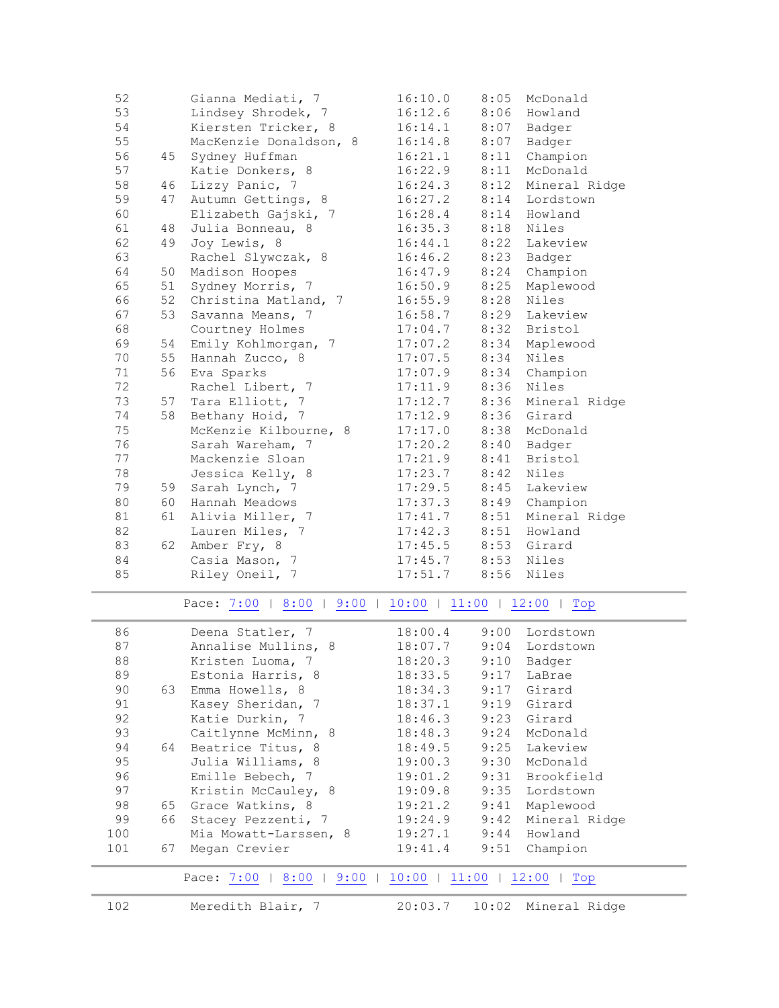| 52 |    | Gianna Mediati, 7        | 16:10.0                 | 8:05 | McDonald      |
|----|----|--------------------------|-------------------------|------|---------------|
| 53 |    | Lindsey Shrodek, 7       | 16:12.6                 | 8:06 | Howland       |
| 54 |    | Kiersten Tricker, 8      | 16:14.1                 | 8:07 | Badger        |
| 55 |    | MacKenzie Donaldson, 8   | 16:14.8                 | 8:07 | Badger        |
| 56 | 45 | Sydney Huffman           | 16:21.1                 | 8:11 | Champion      |
| 57 |    | Katie Donkers, 8         | 16:22.9                 | 8:11 | McDonald      |
| 58 | 46 | Lizzy Panic, 7           | 16:24.3                 | 8:12 | Mineral Ridge |
| 59 | 47 | Autumn Gettings, 8       | 16:27.2                 | 8:14 | Lordstown     |
| 60 |    | Elizabeth Gajski, 7      | 16:28.4                 | 8:14 | Howland       |
| 61 | 48 | Julia Bonneau, 8         | 16:35.3                 | 8:18 | Niles         |
| 62 | 49 | Joy Lewis, 8             | 16:44.1                 | 8:22 | Lakeview      |
| 63 |    | Rachel Slywczak, 8       | 16:46.2                 | 8:23 | Badger        |
| 64 | 50 | Madison Hoopes           | 16:47.9                 | 8:24 | Champion      |
| 65 | 51 | Sydney Morris, 7         | 16:50.9                 | 8:25 | Maplewood     |
| 66 | 52 | Christina Matland, 7     | 16:55.9                 | 8:28 | Niles         |
| 67 | 53 | Savanna Means, 7         | 16:58.7                 | 8:29 | Lakeview      |
| 68 |    | Courtney Holmes          | 17:04.7                 | 8:32 | Bristol       |
| 69 | 54 | Emily Kohlmorgan, 7      | 17:07.2                 | 8:34 | Maplewood     |
| 70 | 55 | Hannah Zucco, 8          | 17:07.5                 | 8:34 | Niles         |
| 71 | 56 | Eva Sparks               | 17:07.9                 | 8:34 | Champion      |
| 72 |    | Rachel Libert, 7         | 17:11.9                 | 8:36 | Niles         |
| 73 | 57 | Tara Elliott, 7          | 17:12.7                 | 8:36 | Mineral Ridge |
| 74 | 58 | Bethany Hoid, 7          | 17:12.9                 | 8:36 | Girard        |
| 75 |    | McKenzie Kilbourne, 8    | 17:17.0                 | 8:38 | McDonald      |
| 76 |    | Sarah Wareham, 7         | 17:20.2                 | 8:40 | Badger        |
| 77 |    | Mackenzie Sloan          | 17:21.9                 | 8:41 | Bristol       |
| 78 |    | Jessica Kelly, 8         | 17:23.7                 | 8:42 | Niles         |
| 79 |    | 59 Sarah Lynch, 7        | 17:29.5                 | 8:45 | Lakeview      |
| 80 | 60 | Hannah Meadows           | 17:37.3                 | 8:49 | Champion      |
| 81 | 61 | Alivia Miller, 7         | 17:41.7                 | 8:51 | Mineral Ridge |
| 82 |    | Lauren Miles, 7          | 17:42.3                 | 8:51 | Howland       |
| 83 | 62 | Amber Fry, 8             | 17:45.5                 | 8:53 | Girard        |
| 84 |    | Casia Mason, 7           | 17:45.7                 | 8:53 | Niles         |
| 85 |    | Riley Oneil, 7           | 17:51.7                 | 8:56 | Niles         |
|    |    | Pace: 7:00   8:00   9:00 | $10:00$   11:00   12:00 |      | Top           |
|    |    |                          |                         |      |               |

<span id="page-4-1"></span><span id="page-4-0"></span>

| 86  |    | Deena Statler, 7      | 18:00.4 | 9:00 | Lordstown          |
|-----|----|-----------------------|---------|------|--------------------|
| 87  |    | Annalise Mullins, 8   | 18:07.7 |      | 9:04 Lordstown     |
| 88  |    | Kristen Luoma, 7      | 18:20.3 | 9:10 | Badger             |
| 89  |    | Estonia Harris, 8     | 18:33.5 | 9:17 | LaBrae             |
| 90  | 63 | Emma Howells, 8       | 18:34.3 | 9:17 | Girard             |
| 91  |    | Kasey Sheridan, 7     | 18:37.1 |      | 9:19 Girard        |
| 92  |    | Katie Durkin, 7       | 18:46.3 |      | 9:23 Girard        |
| 93  |    | Caitlynne McMinn, 8   | 18:48.3 |      | 9:24 McDonald      |
| 94  | 64 | Beatrice Titus, 8     | 18:49.5 |      | 9:25 Lakeview      |
| 95  |    | Julia Williams, 8     | 19:00.3 |      | 9:30 McDonald      |
| 96  |    | Emille Bebech, 7      | 19:01.2 |      | 9:31 Brookfield    |
| 97  |    | Kristin McCauley, 8   | 19:09.8 |      | 9:35 Lordstown     |
| 98  | 65 | Grace Watkins, 8      | 19:21.2 | 9:41 | Maplewood          |
| 99  | 66 | Stacey Pezzenti, 7    | 19:24.9 |      | 9:42 Mineral Ridge |
| 100 |    | Mia Mowatt-Larssen, 8 | 19:27.1 |      | 9:44 Howland       |
| 101 | 67 | Megan Crevier         | 19:41.4 | 9:51 | Champion           |